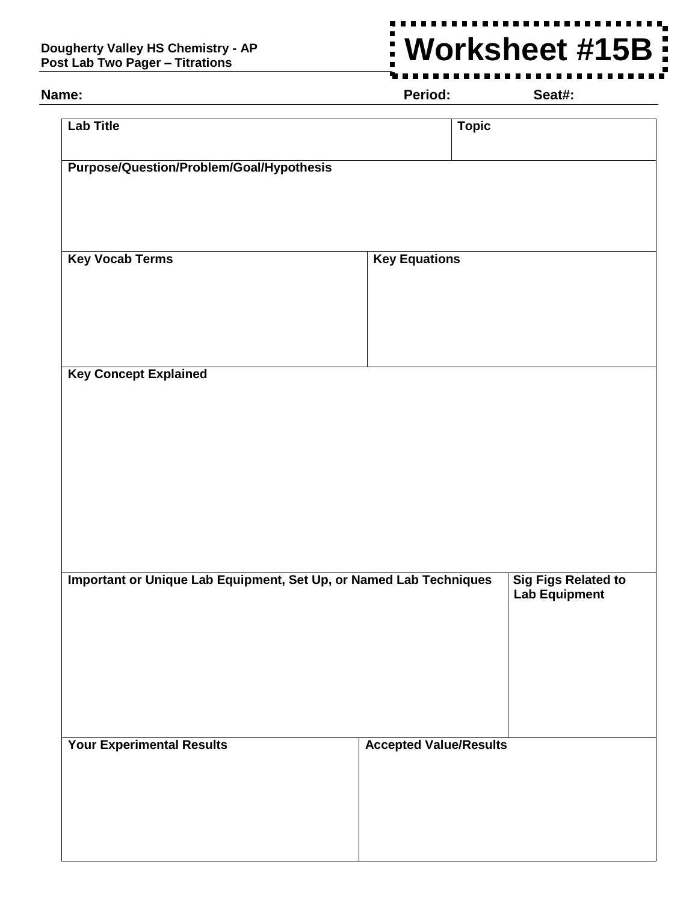## **Dougherty Valley HS Chemistry - AP Post Lab Two Pager – Titrations**

## **Worksheet #15B** $\frac{1}{2}$

**Name: Period: Seat#:**

| Purpose/Question/Problem/Goal/Hypothesis<br><b>Key Vocab Terms</b><br><b>Key Equations</b><br><b>Key Concept Explained</b><br>Important or Unique Lab Equipment, Set Up, or Named Lab Techniques<br><b>Sig Figs Related to</b><br><b>Lab Equipment</b><br><b>Your Experimental Results</b><br><b>Accepted Value/Results</b> | <b>Lab Title</b> | <b>Topic</b> |
|-----------------------------------------------------------------------------------------------------------------------------------------------------------------------------------------------------------------------------------------------------------------------------------------------------------------------------|------------------|--------------|
|                                                                                                                                                                                                                                                                                                                             |                  |              |
|                                                                                                                                                                                                                                                                                                                             |                  |              |
|                                                                                                                                                                                                                                                                                                                             |                  |              |
|                                                                                                                                                                                                                                                                                                                             |                  |              |
|                                                                                                                                                                                                                                                                                                                             |                  |              |
|                                                                                                                                                                                                                                                                                                                             |                  |              |
|                                                                                                                                                                                                                                                                                                                             |                  |              |
|                                                                                                                                                                                                                                                                                                                             |                  |              |
|                                                                                                                                                                                                                                                                                                                             |                  |              |
|                                                                                                                                                                                                                                                                                                                             |                  |              |
|                                                                                                                                                                                                                                                                                                                             |                  |              |
|                                                                                                                                                                                                                                                                                                                             |                  |              |
|                                                                                                                                                                                                                                                                                                                             |                  |              |
|                                                                                                                                                                                                                                                                                                                             |                  |              |
|                                                                                                                                                                                                                                                                                                                             |                  |              |
|                                                                                                                                                                                                                                                                                                                             |                  |              |
|                                                                                                                                                                                                                                                                                                                             |                  |              |
|                                                                                                                                                                                                                                                                                                                             |                  |              |
|                                                                                                                                                                                                                                                                                                                             |                  |              |
|                                                                                                                                                                                                                                                                                                                             |                  |              |
|                                                                                                                                                                                                                                                                                                                             |                  |              |
|                                                                                                                                                                                                                                                                                                                             |                  |              |
|                                                                                                                                                                                                                                                                                                                             |                  |              |
|                                                                                                                                                                                                                                                                                                                             |                  |              |
|                                                                                                                                                                                                                                                                                                                             |                  |              |
|                                                                                                                                                                                                                                                                                                                             |                  |              |
|                                                                                                                                                                                                                                                                                                                             |                  |              |
|                                                                                                                                                                                                                                                                                                                             |                  |              |
|                                                                                                                                                                                                                                                                                                                             |                  |              |
|                                                                                                                                                                                                                                                                                                                             |                  |              |